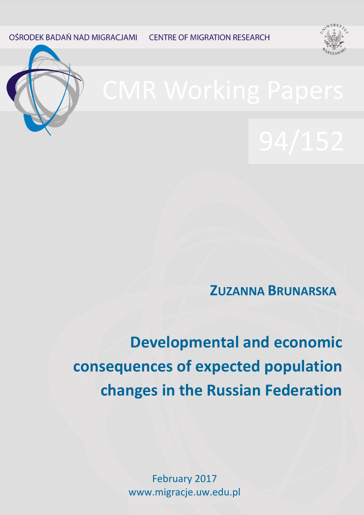OŚRODEK BADAŃ NAD MIGRACJAMI **CENTRE OF MIGRATION RESEARCH** 





**ZUZANNA BRUNARSKA**

**Developmental and economic consequences of expected population changes in the Russian Federation**

> February 2017 www.migracje.uw.edu.pl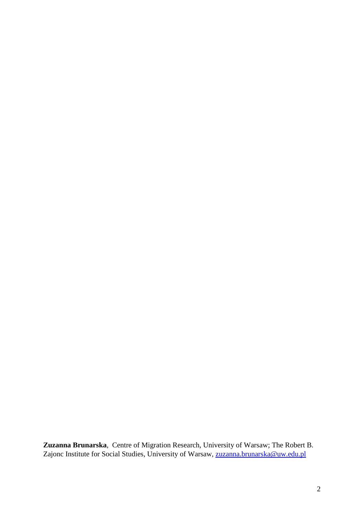**Zuzanna Brunarska**, Centre of Migration Research, University of Warsaw; The Robert B. Zajonc Institute for Social Studies, University of Warsaw, **zuzanna.brunarska@uw.edu.pl**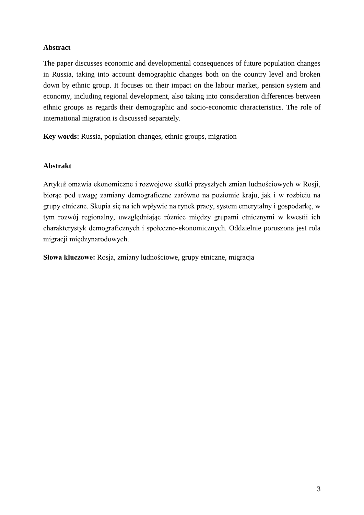# **Abstract**

The paper discusses economic and developmental consequences of future population changes in Russia, taking into account demographic changes both on the country level and broken down by ethnic group. It focuses on their impact on the labour market, pension system and economy, including regional development, also taking into consideration differences between ethnic groups as regards their demographic and socio-economic characteristics. The role of international migration is discussed separately.

**Key words:** Russia, population changes, ethnic groups, migration

# **Abstrakt**

Artykuł omawia ekonomiczne i rozwojowe skutki przyszłych zmian ludnościowych w Rosji, biorąc pod uwagę zamiany demograficzne zarówno na poziomie kraju, jak i w rozbiciu na grupy etniczne. Skupia się na ich wpływie na rynek pracy, system emerytalny i gospodarkę, w tym rozwój regionalny, uwzględniając różnice między grupami etnicznymi w kwestii ich charakterystyk demograficznych i społeczno-ekonomicznych. Oddzielnie poruszona jest rola migracji międzynarodowych.

**Słowa kluczowe:** Rosja, zmiany ludnościowe, grupy etniczne, migracja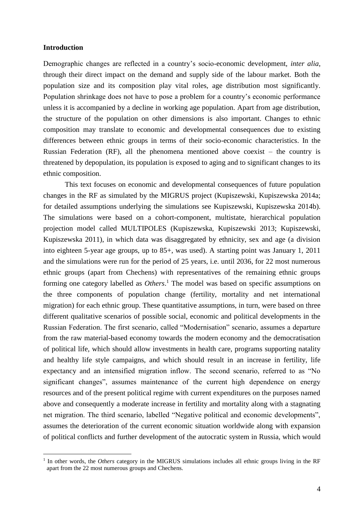## **Introduction**

<u>.</u>

Demographic changes are reflected in a country's socio-economic development, *inter alia*, through their direct impact on the demand and supply side of the labour market. Both the population size and its composition play vital roles, age distribution most significantly. Population shrinkage does not have to pose a problem for a country's economic performance unless it is accompanied by a decline in working age population. Apart from age distribution, the structure of the population on other dimensions is also important. Changes to ethnic composition may translate to economic and developmental consequences due to existing differences between ethnic groups in terms of their socio-economic characteristics. In the Russian Federation (RF), all the phenomena mentioned above coexist – the country is threatened by depopulation, its population is exposed to aging and to significant changes to its ethnic composition.

This text focuses on economic and developmental consequences of future population changes in the RF as simulated by the MIGRUS project (Kupiszewski, Kupiszewska 2014a; for detailed assumptions underlying the simulations see Kupiszewski, Kupiszewska 2014b). The simulations were based on a cohort-component, multistate, hierarchical population projection model called MULTIPOLES (Kupiszewska, Kupiszewski 2013; Kupiszewski, Kupiszewska 2011), in which data was disaggregated by ethnicity, sex and age (a division into eighteen 5-year age groups, up to 85+, was used). A starting point was January 1, 2011 and the simulations were run for the period of 25 years, i.e. until 2036, for 22 most numerous ethnic groups (apart from Chechens) with representatives of the remaining ethnic groups forming one category labelled as *Others*. <sup>1</sup> The model was based on specific assumptions on the three components of population change (fertility, mortality and net international migration) for each ethnic group. These quantitative assumptions, in turn, were based on three different qualitative scenarios of possible social, economic and political developments in the Russian Federation. The first scenario, called "Modernisation" scenario, assumes a departure from the raw material-based economy towards the modern economy and the democratisation of political life, which should allow investments in health care, programs supporting natality and healthy life style campaigns, and which should result in an increase in fertility, life expectancy and an intensified migration inflow. The second scenario, referred to as "No significant changes", assumes maintenance of the current high dependence on energy resources and of the present political regime with current expenditures on the purposes named above and consequently a moderate increase in fertility and mortality along with a stagnating net migration. The third scenario, labelled "Negative political and economic developments", assumes the deterioration of the current economic situation worldwide along with expansion of political conflicts and further development of the autocratic system in Russia, which would

<sup>&</sup>lt;sup>1</sup> In other words, the *Others* category in the MIGRUS simulations includes all ethnic groups living in the RF apart from the 22 most numerous groups and Chechens.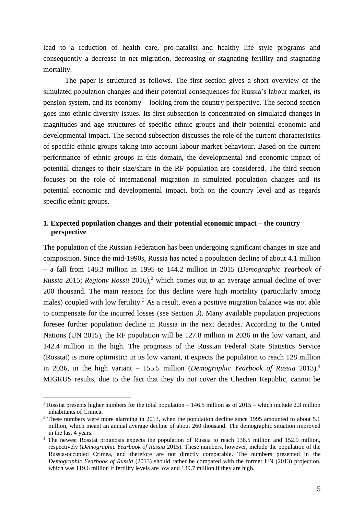lead to a reduction of health care, pro-natalist and healthy life style programs and consequently a decrease in net migration, decreasing or stagnating fertility and stagnating mortality.

The paper is structured as follows. The first section gives a short overview of the simulated population changes and their potential consequences for Russia's labour market, its pension system, and its economy – looking from the country perspective. The second section goes into ethnic diversity issues. Its first subsection is concentrated on simulated changes in magnitudes and age structures of specific ethnic groups and their potential economic and developmental impact. The second subsection discusses the role of the current characteristics of specific ethnic groups taking into account labour market behaviour. Based on the current performance of ethnic groups in this domain, the developmental and economic impact of potential changes to their size/share in the RF population are considered. The third section focuses on the role of international migration in simulated population changes and its potential economic and developmental impact, both on the country level and as regards specific ethnic groups.

# **1. Expected population changes and their potential economic impact – the country perspective**

The population of the Russian Federation has been undergoing significant changes in size and composition. Since the mid-1990s, Russia has noted a population decline of about 4.1 million – a fall from 148.3 million in 1995 to 144.2 million in 2015 (*Demographic Yearbook of Russia* 2015; *Regiony Rossii* 2016),<sup>2</sup> which comes out to an average annual decline of over 200 thousand. The main reasons for this decline were high mortality (particularly among males) coupled with low fertility.<sup>3</sup> As a result, even a positive migration balance was not able to compensate for the incurred losses (see Section 3). Many available population projections foresee further population decline in Russia in the next decades. According to the United Nations (UN 2015), the RF population will be 127.8 million in 2036 in the low variant, and 142.4 million in the high. The prognosis of the Russian Federal State Statistics Service (Rosstat) is more optimistic: in its low variant, it expects the population to reach 128 million in 2036, in the high variant – 155.5 million (*Demographic Yearbook of Russia* 2013).<sup>4</sup> MIGRUS results, due to the fact that they do not cover the Chechen Republic, cannot be

1

<sup>&</sup>lt;sup>2</sup> Rosstat presents higher numbers for the total population – 146.5 million as of  $2015$  – which include 2.3 million inhabitants of Crimea.

<sup>&</sup>lt;sup>3</sup> These numbers were more alarming in 2013, when the population decline since 1995 amounted to about 5.1 million, which meant an annual average decline of about 260 thousand. The demographic situation improved in the last 4 years.

<sup>&</sup>lt;sup>4</sup> The newest Rosstat prognosis expects the population of Russia to reach 138.5 million and 152.9 million, respectively (*Demographic Yearbook of Russia* 2015). These numbers, however, include the population of the Russia-occupied Crimea, and therefore are not directly comparable. The numbers presented in the *Demographic Yearbook of Russia* (2013) should rather be compared with the former UN (2013) projection, which was 119.6 million if fertility levels are low and 139.7 million if they are high.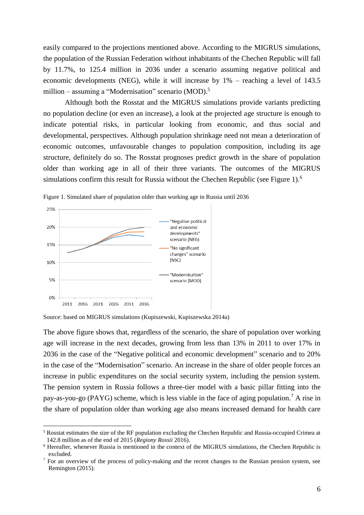easily compared to the projections mentioned above. According to the MIGRUS simulations, the population of the Russian Federation without inhabitants of the Chechen Republic will fall by 11.7%, to 125.4 million in 2036 under a scenario assuming negative political and economic developments (NEG), while it will increase by 1% – reaching a level of 143.5 million – assuming a "Modernisation" scenario (MOD).<sup>5</sup>

Although both the Rosstat and the MIGRUS simulations provide variants predicting no population decline (or even an increase), a look at the projected age structure is enough to indicate potential risks, in particular looking from economic, and thus social and developmental, perspectives. Although population shrinkage need not mean a deterioration of economic outcomes, unfavourable changes to population composition, including its age structure, definitely do so. The Rosstat prognoses predict growth in the share of population older than working age in all of their three variants. The outcomes of the MIGRUS simulations confirm this result for Russia without the Chechen Republic (see Figure 1).<sup>6</sup>



Figure 1. Simulated share of population older than working age in Russia until 2036

Source: based on MIGRUS simulations (Kupiszewski, Kupiszewska 2014a)

<u>.</u>

The above figure shows that, regardless of the scenario, the share of population over working age will increase in the next decades, growing from less than 13% in 2011 to over 17% in 2036 in the case of the "Negative political and economic development" scenario and to 20% in the case of the "Modernisation" scenario. An increase in the share of older people forces an increase in public expenditures on the social security system, including the pension system. The pension system in Russia follows a three-tier model with a basic pillar fitting into the pay-as-you-go (PAYG) scheme, which is less viable in the face of aging population.<sup>7</sup> A rise in the share of population older than working age also means increased demand for health care

<sup>5</sup> Rosstat estimates the size of the RF population excluding the Chechen Republic and Russia-occupied Crimea at 142.8 million as of the end of 2015 (*Regiony Rossii* 2016).

<sup>6</sup> Hereafter, whenever Russia is mentioned in the context of the MIGRUS simulations, the Chechen Republic is excluded.

<sup>&</sup>lt;sup>7</sup> For an overview of the process of policy-making and the recent changes to the Russian pension system, see Remington (2015).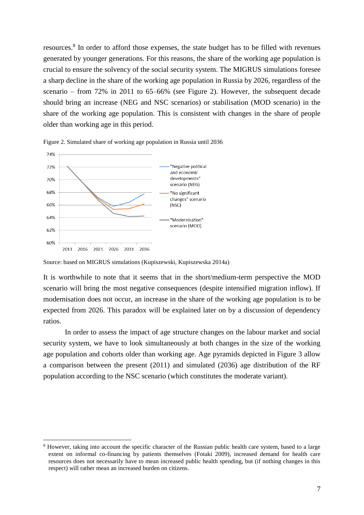resources.<sup>8</sup> In order to afford those expenses, the state budget has to be filled with revenues generated by younger generations. For this reasons, the share of the working age population is crucial to ensure the solvency of the social security system. The MIGRUS simulations foresee a sharp decline in the share of the working age population in Russia by 2026, regardless of the scenario – from 72% in 2011 to 65–66% (see Figure 2). However, the subsequent decade should bring an increase (NEG and NSC scenarios) or stabilisation (MOD scenario) in the share of the working age population. This is consistent with changes in the share of people older than working age in this period.



Figure 2. Simulated share of working age population in Russia until 2036

1

It is worthwhile to note that it seems that in the short/medium-term perspective the MOD scenario will bring the most negative consequences (despite intensified migration inflow). If modernisation does not occur, an increase in the share of the working age population is to be expected from 2026. This paradox will be explained later on by a discussion of dependency ratios.

In order to assess the impact of age structure changes on the labour market and social security system, we have to look simultaneously at both changes in the size of the working age population and cohorts older than working age. Age pyramids depicted in Figure 3 allow a comparison between the present (2011) and simulated (2036) age distribution of the RF population according to the NSC scenario (which constitutes the moderate variant).

Source: based on MIGRUS simulations (Kupiszewski, Kupiszewska 2014a)

<sup>8</sup> However, taking into account the specific character of the Russian public health care system, based to a large extent on informal co-financing by patients themselves (Fotaki 2009), increased demand for health care resources does not necessarily have to mean increased public health spending, but (if nothing changes in this respect) will rather mean an increased burden on citizens.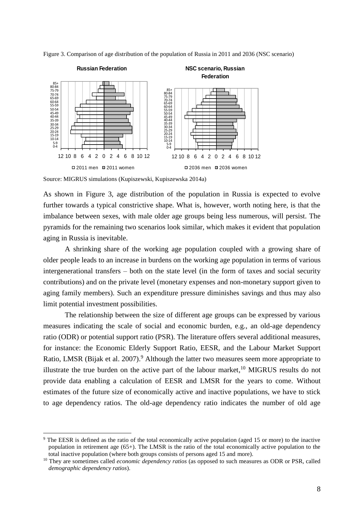

Figure 3. Comparison of age distribution of the population of Russia in 2011 and 2036 (NSC scenario)

Source: MIGRUS simulations (Kupiszewski, Kupiszewska 2014a)

<u>.</u>

As shown in Figure 3, age distribution of the population in Russia is expected to evolve further towards a typical constrictive shape. What is, however, worth noting here, is that the imbalance between sexes, with male older age groups being less numerous, will persist. The pyramids for the remaining two scenarios look similar, which makes it evident that population aging in Russia is inevitable.

A shrinking share of the working age population coupled with a growing share of older people leads to an increase in burdens on the working age population in terms of various intergenerational transfers – both on the state level (in the form of taxes and social security contributions) and on the private level (monetary expenses and non-monetary support given to aging family members). Such an expenditure pressure diminishes savings and thus may also limit potential investment possibilities.

The relationship between the size of different age groups can be expressed by various measures indicating the scale of social and economic burden, e.g., an old-age dependency ratio (ODR) or potential support ratio (PSR). The literature offers several additional measures, for instance: the Economic Elderly Support Ratio, EESR, and the Labour Market Support Ratio, LMSR (Bijak et al. 2007).<sup>9</sup> Although the latter two measures seem more appropriate to illustrate the true burden on the active part of the labour market,  $10$  MIGRUS results do not provide data enabling a calculation of EESR and LMSR for the years to come. Without estimates of the future size of economically active and inactive populations, we have to stick to age dependency ratios. The old-age dependency ratio indicates the number of old age

<sup>9</sup> The EESR is defined as the ratio of the total economically active population (aged 15 or more) to the inactive population in retirement age (65+). The LMSR is the ratio of the total economically active population to the total inactive population (where both groups consists of persons aged 15 and more).

<sup>&</sup>lt;sup>10</sup> They are sometimes called *economic dependency ratios* (as opposed to such measures as ODR or PSR, called *demographic dependency ratios*).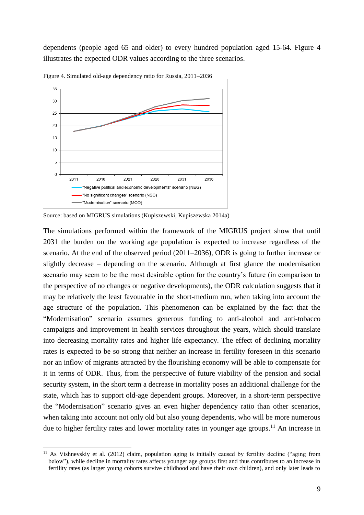dependents (people aged 65 and older) to every hundred population aged 15-64. Figure 4 illustrates the expected ODR values according to the three scenarios.



Figure 4. Simulated old-age dependency ratio for Russia, 2011–2036

1

The simulations performed within the framework of the MIGRUS project show that until 2031 the burden on the working age population is expected to increase regardless of the scenario. At the end of the observed period (2011–2036), ODR is going to further increase or slightly decrease – depending on the scenario. Although at first glance the modernisation scenario may seem to be the most desirable option for the country's future (in comparison to the perspective of no changes or negative developments), the ODR calculation suggests that it may be relatively the least favourable in the short-medium run, when taking into account the age structure of the population. This phenomenon can be explained by the fact that the "Modernisation" scenario assumes generous funding to anti-alcohol and anti-tobacco campaigns and improvement in health services throughout the years, which should translate into decreasing mortality rates and higher life expectancy. The effect of declining mortality rates is expected to be so strong that neither an increase in fertility foreseen in this scenario nor an inflow of migrants attracted by the flourishing economy will be able to compensate for it in terms of ODR. Thus, from the perspective of future viability of the pension and social security system, in the short term a decrease in mortality poses an additional challenge for the state, which has to support old-age dependent groups. Moreover, in a short-term perspective the "Modernisation" scenario gives an even higher dependency ratio than other scenarios, when taking into account not only old but also young dependents, who will be more numerous due to higher fertility rates and lower mortality rates in younger age groups.<sup>11</sup> An increase in

Source: based on MIGRUS simulations (Kupiszewski, Kupiszewska 2014a)

<sup>&</sup>lt;sup>11</sup> As Vishnevskiy et al. (2012) claim, population aging is initially caused by fertility decline ("aging from below"), while decline in mortality rates affects younger age groups first and thus contributes to an increase in fertility rates (as larger young cohorts survive childhood and have their own children), and only later leads to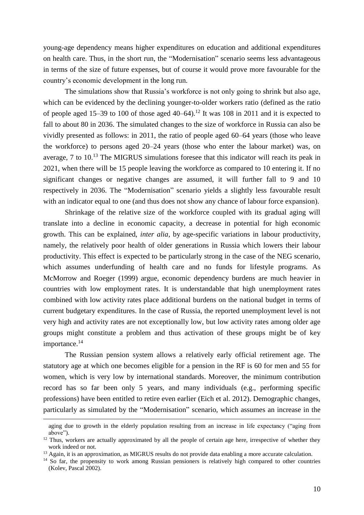young-age dependency means higher expenditures on education and additional expenditures on health care. Thus, in the short run, the "Modernisation" scenario seems less advantageous in terms of the size of future expenses, but of course it would prove more favourable for the country's economic development in the long run.

The simulations show that Russia's workforce is not only going to shrink but also age, which can be evidenced by the declining younger-to-older workers ratio (defined as the ratio of people aged  $15-39$  to 100 of those aged  $40-64$ ).<sup>12</sup> It was 108 in 2011 and it is expected to fall to about 80 in 2036. The simulated changes to the size of workforce in Russia can also be vividly presented as follows: in 2011, the ratio of people aged 60–64 years (those who leave the workforce) to persons aged 20–24 years (those who enter the labour market) was, on average,  $7$  to  $10$ .<sup>13</sup> The MIGRUS simulations foresee that this indicator will reach its peak in 2021, when there will be 15 people leaving the workforce as compared to 10 entering it. If no significant changes or negative changes are assumed, it will further fall to 9 and 10 respectively in 2036. The "Modernisation" scenario yields a slightly less favourable result with an indicator equal to one (and thus does not show any chance of labour force expansion).

Shrinkage of the relative size of the workforce coupled with its gradual aging will translate into a decline in economic capacity, a decrease in potential for high economic growth. This can be explained, *inter alia*, by age-specific variations in labour productivity, namely, the relatively poor health of older generations in Russia which lowers their labour productivity. This effect is expected to be particularly strong in the case of the NEG scenario, which assumes underfunding of health care and no funds for lifestyle programs. As McMorrow and Roeger (1999) argue, economic dependency burdens are much heavier in countries with low employment rates. It is understandable that high unemployment rates combined with low activity rates place additional burdens on the national budget in terms of current budgetary expenditures. In the case of Russia, the reported unemployment level is not very high and activity rates are not exceptionally low, but low activity rates among older age groups might constitute a problem and thus activation of these groups might be of key importance. 14

The Russian pension system allows a relatively early official retirement age. The statutory age at which one becomes eligible for a pension in the RF is 60 for men and 55 for women, which is very low by international standards. Moreover, the minimum contribution record has so far been only 5 years, and many individuals (e.g., performing specific professions) have been entitled to retire even earlier (Eich et al. 2012). Demographic changes, particularly as simulated by the "Modernisation" scenario, which assumes an increase in the

 $\overline{a}$ 

aging due to growth in the elderly population resulting from an increase in life expectancy ("aging from above").

 $12$  Thus, workers are actually approximated by all the people of certain age here, irrespective of whether they work indeed or not.

<sup>&</sup>lt;sup>13</sup> Again, it is an approximation, as MIGRUS results do not provide data enabling a more accurate calculation.

<sup>&</sup>lt;sup>14</sup> So far, the propensity to work among Russian pensioners is relatively high compared to other countries (Kolev, Pascal 2002).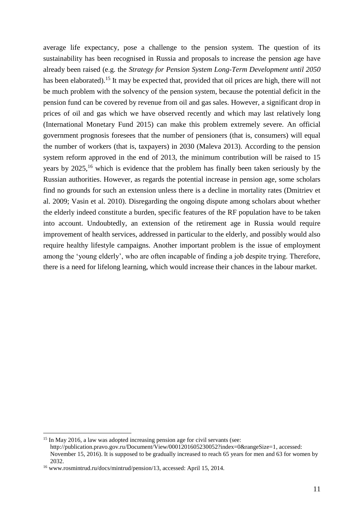average life expectancy, pose a challenge to the pension system. The question of its sustainability has been recognised in Russia and proposals to increase the pension age have already been raised (e.g. the *Strategy for Pension System Long-Term Development until 2050* has been elaborated).<sup>15</sup> It may be expected that, provided that oil prices are high, there will not be much problem with the solvency of the pension system, because the potential deficit in the pension fund can be covered by revenue from oil and gas sales. However, a significant drop in prices of oil and gas which we have observed recently and which may last relatively long (International Monetary Fund 2015) can make this problem extremely severe. An official government prognosis foresees that the number of pensioners (that is, consumers) will equal the number of workers (that is, taxpayers) in 2030 (Maleva 2013). According to the pension system reform approved in the end of 2013, the minimum contribution will be raised to 15 years by 2025,<sup>16</sup> which is evidence that the problem has finally been taken seriously by the Russian authorities. However, as regards the potential increase in pension age, some scholars find no grounds for such an extension unless there is a decline in mortality rates (Dmitriev et al. 2009; Vasin et al. 2010). Disregarding the ongoing dispute among scholars about whether the elderly indeed constitute a burden, specific features of the RF population have to be taken into account. Undoubtedly, an extension of the retirement age in Russia would require improvement of health services, addressed in particular to the elderly, and possibly would also require healthy lifestyle campaigns. Another important problem is the issue of employment among the 'young elderly', who are often incapable of finding a job despite trying. Therefore, there is a need for lifelong learning, which would increase their chances in the labour market.

<u>.</u>

<sup>&</sup>lt;sup>15</sup> In May 2016, a law was adopted increasing pension age for civil servants (see:

http://publication.pravo.gov.ru/Document/View/0001201605230052?index=0&rangeSize=1, accessed:

November 15, 2016). It is supposed to be gradually increased to reach 65 years for men and 63 for women by 2032.

<sup>16</sup> www.rosmintrud.ru/docs/mintrud/pension/13, accessed: April 15, 2014.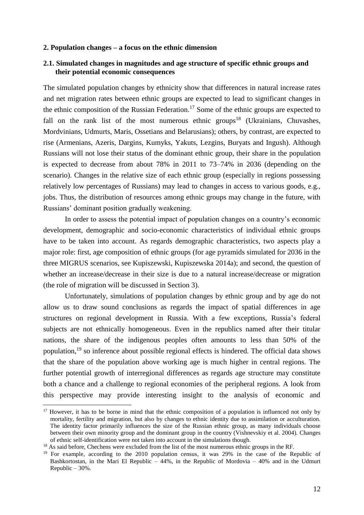## **2. Population changes – a focus on the ethnic dimension**

## **2.1. Simulated changes in magnitudes and age structure of specific ethnic groups and their potential economic consequences**

The simulated population changes by ethnicity show that differences in natural increase rates and net migration rates between ethnic groups are expected to lead to significant changes in the ethnic composition of the Russian Federation.<sup>17</sup> Some of the ethnic groups are expected to fall on the rank list of the most numerous ethnic groups<sup>18</sup> (Ukrainians, Chuvashes, Mordvinians, Udmurts, Maris, Ossetians and Belarusians); others, by contrast, are expected to rise (Armenians, Azeris, Dargins, Kumyks, Yakuts, Lezgins, Buryats and Ingush). Although Russians will not lose their status of the dominant ethnic group, their share in the population is expected to decrease from about 78% in 2011 to 73–74% in 2036 (depending on the scenario). Changes in the relative size of each ethnic group (especially in regions possessing relatively low percentages of Russians) may lead to changes in access to various goods, e.g., jobs. Thus, the distribution of resources among ethnic groups may change in the future, with Russians' dominant position gradually weakening.

In order to assess the potential impact of population changes on a country's economic development, demographic and socio-economic characteristics of individual ethnic groups have to be taken into account. As regards demographic characteristics, two aspects play a major role: first, age composition of ethnic groups (for age pyramids simulated for 2036 in the three MIGRUS scenarios, see Kupiszewski, Kupiszewska 2014a); and second, the question of whether an increase/decrease in their size is due to a natural increase/decrease or migration (the role of migration will be discussed in Section 3).

Unfortunately, simulations of population changes by ethnic group and by age do not allow us to draw sound conclusions as regards the impact of spatial differences in age structures on regional development in Russia. With a few exceptions, Russia's federal subjects are not ethnically homogeneous. Even in the republics named after their titular nations, the share of the indigenous peoples often amounts to less than 50% of the population,<sup>19</sup> so inference about possible regional effects is hindered. The official data shows that the share of the population above working age is much higher in central regions. The further potential growth of interregional differences as regards age structure may constitute both a chance and a challenge to regional economies of the peripheral regions. A look from this perspective may provide interesting insight to the analysis of economic and

1

<sup>&</sup>lt;sup>17</sup> However, it has to be borne in mind that the ethnic composition of a population is influenced not only by mortality, fertility and migration, but also by changes to ethnic identity due to assimilation or acculturation. The identity factor primarily influences the size of the Russian ethnic group, as many individuals choose between their own minority group and the dominant group in the country (Vishnevskiy et al. 2004). Changes of ethnic self-identification were not taken into account in the simulations though.

<sup>&</sup>lt;sup>18</sup> As said before, Chechens were excluded from the list of the most numerous ethnic groups in the RF.

<sup>&</sup>lt;sup>19</sup> For example, according to the 2010 population census, it was 29% in the case of the Republic of Bashkortostan, in the Mari El Republic – 44%, in the Republic of Mordovia – 40% and in the Udmurt Republic – 30%.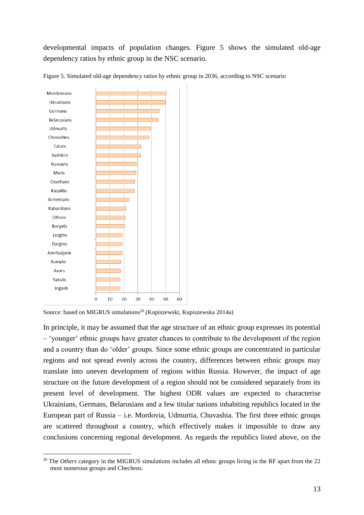developmental impacts of population changes. Figure 5 shows the simulated old-age dependency ratios by ethnic group in the NSC scenario.



<u>.</u>

Figure 5. Simulated old-age dependency ratios by ethnic group in 2036, according to NSC scenario

Source: based on MIGRUS simulations <sup>20</sup> (Kupiszewski, Kupiszewska 2014a)

In principle, it may be assumed that the age structure of an ethnic group expresses its potential – 'younger' ethnic groups have greater chances to contribute to the development of the region and a country than do 'older' groups. Since some ethnic groups are concentrated in particular regions and not spread evenly across the country, differences between ethnic groups may translate into uneven development of regions within Russia. However, the impact of age structure on the future development of a region should not be considered separately from its present level of development. The highest ODR values are expected to characterise Ukrainians, Germans, Belarusians and a few titular nations inhabiting republics located in the European part of Russia – i.e. Mordovia, Udmurtia, Chuvashia. The first three ethnic groups are scattered throughout a country, which effectively makes it impossible to draw any conclusions concerning regional development. As regards the republics listed above, on the

<sup>&</sup>lt;sup>20</sup> The *Others* category in the MIGRUS simulations includes all ethnic groups living in the RF apart from the 22 most numerous groups and Chechens.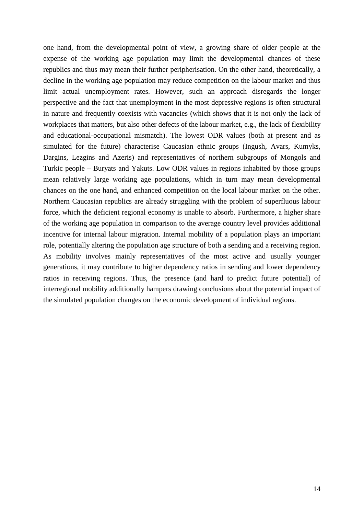one hand, from the developmental point of view, a growing share of older people at the expense of the working age population may limit the developmental chances of these republics and thus may mean their further peripherisation. On the other hand, theoretically, a decline in the working age population may reduce competition on the labour market and thus limit actual unemployment rates. However, such an approach disregards the longer perspective and the fact that unemployment in the most depressive regions is often structural in nature and frequently coexists with vacancies (which shows that it is not only the lack of workplaces that matters, but also other defects of the labour market, e.g., the lack of flexibility and educational-occupational mismatch). The lowest ODR values (both at present and as simulated for the future) characterise Caucasian ethnic groups (Ingush, Avars, Kumyks, Dargins, Lezgins and Azeris) and representatives of northern subgroups of Mongols and Turkic people – Buryats and Yakuts. Low ODR values in regions inhabited by those groups mean relatively large working age populations, which in turn may mean developmental chances on the one hand, and enhanced competition on the local labour market on the other. Northern Caucasian republics are already struggling with the problem of superfluous labour force, which the deficient regional economy is unable to absorb. Furthermore, a higher share of the working age population in comparison to the average country level provides additional incentive for internal labour migration. Internal mobility of a population plays an important role, potentially altering the population age structure of both a sending and a receiving region. As mobility involves mainly representatives of the most active and usually younger generations, it may contribute to higher dependency ratios in sending and lower dependency ratios in receiving regions. Thus, the presence (and hard to predict future potential) of interregional mobility additionally hampers drawing conclusions about the potential impact of the simulated population changes on the economic development of individual regions.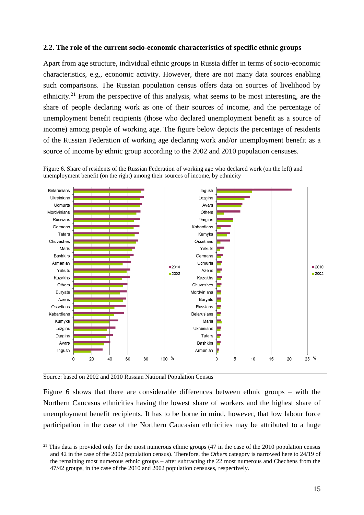### **2.2. The role of the current socio-economic characteristics of specific ethnic groups**

Apart from age structure, individual ethnic groups in Russia differ in terms of socio-economic characteristics, e.g., economic activity. However, there are not many data sources enabling such comparisons. The Russian population census offers data on sources of livelihood by ethnicity.<sup>21</sup> From the perspective of this analysis, what seems to be most interesting, are the share of people declaring work as one of their sources of income, and the percentage of unemployment benefit recipients (those who declared unemployment benefit as a source of income) among people of working age. The figure below depicts the percentage of residents of the Russian Federation of working age declaring work and/or unemployment benefit as a source of income by ethnic group according to the 2002 and 2010 population censuses.



Figure 6. Share of residents of the Russian Federation of working age who declared work (on the left) and unemployment benefit (on the right) among their sources of income, by ethnicity

Source: based on 2002 and 2010 Russian National Population Census

1

Figure 6 shows that there are considerable differences between ethnic groups – with the Northern Caucasus ethnicities having the lowest share of workers and the highest share of unemployment benefit recipients. It has to be borne in mind, however, that low labour force participation in the case of the Northern Caucasian ethnicities may be attributed to a huge

 $21$  This data is provided only for the most numerous ethnic groups (47 in the case of the 2010 population census and 42 in the case of the 2002 population census). Therefore, the *Others* category is narrowed here to 24/19 of the remaining most numerous ethnic groups – after subtracting the 22 most numerous and Chechens from the 47/42 groups, in the case of the 2010 and 2002 population censuses, respectively.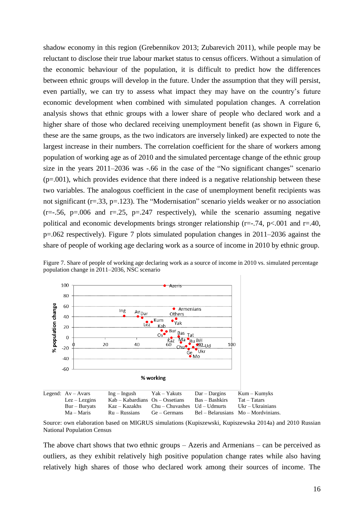shadow economy in this region (Grebennikov 2013; Zubarevich 2011), while people may be reluctant to disclose their true labour market status to census officers. Without a simulation of the economic behaviour of the population, it is difficult to predict how the differences between ethnic groups will develop in the future. Under the assumption that they will persist, even partially, we can try to assess what impact they may have on the country's future economic development when combined with simulated population changes. A correlation analysis shows that ethnic groups with a lower share of people who declared work and a higher share of those who declared receiving unemployment benefit (as shown in Figure 6, these are the same groups, as the two indicators are inversely linked) are expected to note the largest increase in their numbers. The correlation coefficient for the share of workers among population of working age as of 2010 and the simulated percentage change of the ethnic group size in the years 2011–2036 was -.66 in the case of the "No significant changes" scenario  $(p=0.001)$ , which provides evidence that there indeed is a negative relationship between these two variables. The analogous coefficient in the case of unemployment benefit recipients was not significant (r=.33, p=.123). The "Modernisation" scenario yields weaker or no association  $(r=-.56, p=0.006$  and  $r=.25, p=.247$  respectively), while the scenario assuming negative political and economic developments brings stronger relationship ( $r=-.74$ ,  $p<-.001$  and  $r=.40$ , p=.062 respectively). Figure 7 plots simulated population changes in 2011–2036 against the share of people of working age declaring work as a source of income in 2010 by ethnic group.





| % working |  |
|-----------|--|
|           |  |

| Legend: $Av - Avars$ | $Ing-Ingush$                         | Yak – Yakuts                     | $Dar - Dargins$ | Kum – Kumyks                        |
|----------------------|--------------------------------------|----------------------------------|-----------------|-------------------------------------|
| $Lex - Lezgins$      | $Kab - Kabardians$ $Os - Os$ setians |                                  | Bas – Bashkirs  | $Tat - Tatars$                      |
| $Bur - Burvats$      | Kaz – Kazakhs                        | $Chu - Chuvashes$ $Ud - Udmurts$ |                 | Ukr – Ukrainians                    |
| $Ma - Maris$         | $Ru - Russians$                      | Ge – Germans                     |                 | Bel – Belarusians Mo – Mordvinians. |

Source: own elaboration based on MIGRUS simulations (Kupiszewski, Kupiszewska 2014a) and 2010 Russian National Population Census

The above chart shows that two ethnic groups – Azeris and Armenians – can be perceived as outliers, as they exhibit relatively high positive population change rates while also having relatively high shares of those who declared work among their sources of income. The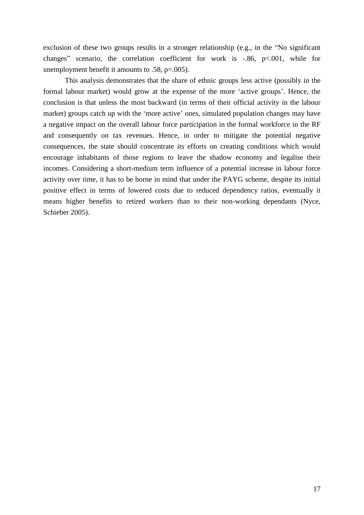exclusion of these two groups results in a stronger relationship (e.g., in the "No significant changes" scenario, the correlation coefficient for work is -.86, p<.001, while for unemployment benefit it amounts to .58, p=.005).

This analysis demonstrates that the share of ethnic groups less active (possibly in the formal labour market) would grow at the expense of the more 'active groups'. Hence, the conclusion is that unless the most backward (in terms of their official activity in the labour market) groups catch up with the 'more active' ones, simulated population changes may have a negative impact on the overall labour force participation in the formal workforce in the RF and consequently on tax revenues. Hence, in order to mitigate the potential negative consequences, the state should concentrate its efforts on creating conditions which would encourage inhabitants of those regions to leave the shadow economy and legalise their incomes. Considering a short-medium term influence of a potential increase in labour force activity over time, it has to be borne in mind that under the PAYG scheme, despite its initial positive effect in terms of lowered costs due to reduced dependency ratios, eventually it means higher benefits to retired workers than to their non-working dependants (Nyce, Schieber 2005).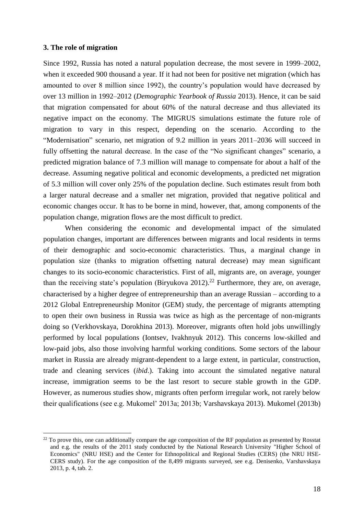#### **3. The role of migration**

<u>.</u>

Since 1992, Russia has noted a natural population decrease, the most severe in 1999–2002, when it exceeded 900 thousand a year. If it had not been for positive net migration (which has amounted to over 8 million since 1992), the country's population would have decreased by over 13 million in 1992–2012 (*Demographic Yearbook of Russia* 2013). Hence, it can be said that migration compensated for about 60% of the natural decrease and thus alleviated its negative impact on the economy. The MIGRUS simulations estimate the future role of migration to vary in this respect, depending on the scenario. According to the "Modernisation" scenario, net migration of 9.2 million in years 2011–2036 will succeed in fully offsetting the natural decrease. In the case of the "No significant changes" scenario, a predicted migration balance of 7.3 million will manage to compensate for about a half of the decrease. Assuming negative political and economic developments, a predicted net migration of 5.3 million will cover only 25% of the population decline. Such estimates result from both a larger natural decrease and a smaller net migration, provided that negative political and economic changes occur. It has to be borne in mind, however, that, among components of the population change, migration flows are the most difficult to predict.

When considering the economic and developmental impact of the simulated population changes, important are differences between migrants and local residents in terms of their demographic and socio-economic characteristics. Thus, a marginal change in population size (thanks to migration offsetting natural decrease) may mean significant changes to its socio-economic characteristics. First of all, migrants are, on average, younger than the receiving state's population (Biryukova 2012).<sup>22</sup> Furthermore, they are, on average, characterised by a higher degree of entrepreneurship than an average Russian – according to a 2012 Global Entrepreneurship Monitor (GEM) study, the percentage of migrants attempting to open their own business in Russia was twice as high as the percentage of non-migrants doing so (Verkhovskaya, Dorokhina 2013). Moreover, migrants often hold jobs unwillingly performed by local populations (Iontsev, Ivakhnyuk 2012). This concerns low-skilled and low-paid jobs, also those involving harmful working conditions. Some sectors of the labour market in Russia are already migrant-dependent to a large extent, in particular, construction, trade and cleaning services (*ibid*.). Taking into account the simulated negative natural increase, immigration seems to be the last resort to secure stable growth in the GDP. However, as numerous studies show, migrants often perform irregular work, not rarely below their qualifications (see e.g. Mukomel' 2013a; 2013b; Varshavskaya 2013). Mukomel (2013b)

<sup>&</sup>lt;sup>22</sup> To prove this, one can additionally compare the age composition of the RF population as presented by Rosstat and e.g. the results of the 2011 study conducted by the National Research University "Higher School of Economics" (NRU HSE) and the Center for Ethnopolitical and Regional Studies (CERS) (the NRU HSE-CERS study). For the age composition of the 8,499 migrants surveyed, see e.g. Denisenko, Varshavskaya 2013, p. 4, tab. 2.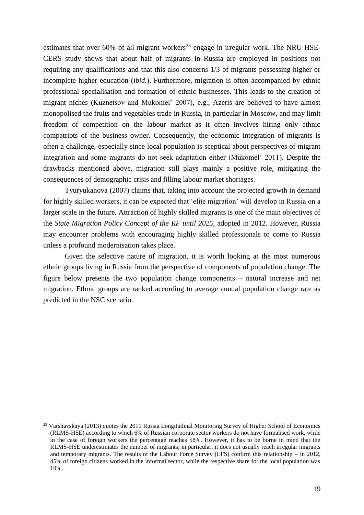estimates that over 60% of all migrant workers<sup>23</sup> engage in irregular work. The NRU HSE-CERS study shows that about half of migrants in Russia are employed in positions not requiring any qualifications and that this also concerns 1/3 of migrants possessing higher or incomplete higher education (*ibid.*). Furthermore, migration is often accompanied by ethnic professional specialisation and formation of ethnic businesses. This leads to the creation of migrant niches (Kuznetsov and Mukomel' 2007), e.g., Azeris are believed to have almost monopolised the fruits and vegetables trade in Russia, in particular in Moscow, and may limit freedom of competition on the labour market as it often involves hiring only ethnic compatriots of the business owner. Consequently, the economic integration of migrants is often a challenge, especially since local population is sceptical about perspectives of migrant integration and some migrants do not seek adaptation either (Mukomel' 2011). Despite the drawbacks mentioned above, migration still plays mainly a positive role, mitigating the consequences of demographic crisis and filling labour market shortages.

Tyuryukanova (2007) claims that, taking into account the projected growth in demand for highly skilled workers, it can be expected that 'elite migration' will develop in Russia on a larger scale in the future. Attraction of highly skilled migrants is one of the main objectives of the *State Migration Policy Concept of the RF until 2025*, adopted in 2012. However, Russia may encounter problems with encouraging highly skilled professionals to come to Russia unless a profound modernisation takes place.

Given the selective nature of migration, it is worth looking at the most numerous ethnic groups living in Russia from the perspective of components of population change. The figure below presents the two population change components – natural increase and net migration. Ethnic groups are ranked according to average annual population change rate as predicted in the NSC scenario.

1

 $^{23}$  Varshavskaya (2013) quotes the 2011 Russia Longitudinal Monitoring Survey of Higher School of Economics (RLMS-HSE) according to which 6% of Russian corporate sector workers do not have formalised work, while in the case of foreign workers the percentage reaches 58%. However, it has to be borne in mind that the RLMS-HSE underestimates the number of migrants; in particular, it does not usually reach irregular migrants and temporary migrants. The results of the Labour Force Survey (LFS) confirm this relationship – in 2012, 45% of foreign citizens worked in the informal sector, while the respective share for the local population was 19%.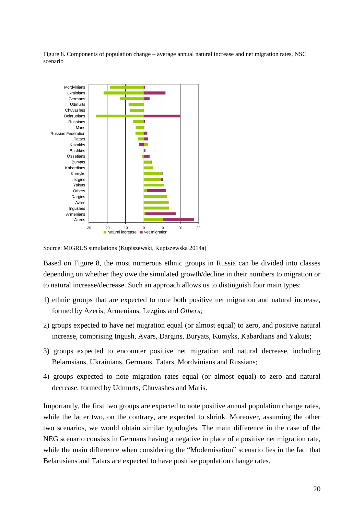Figure 8. Components of population change – average annual natural increase and net migration rates, NSC scenario



Source: MIGRUS simulations (Kupiszewski, Kupiszewska 2014a)

Based on Figure 8, the most numerous ethnic groups in Russia can be divided into classes depending on whether they owe the simulated growth/decline in their numbers to migration or to natural increase/decrease. Such an approach allows us to distinguish four main types:

- 1) ethnic groups that are expected to note both positive net migration and natural increase, formed by Azeris, Armenians, Lezgins and *Others*;
- 2) groups expected to have net migration equal (or almost equal) to zero, and positive natural increase, comprising Ingush, Avars, Dargins, Buryats, Kumyks, Kabardians and Yakuts;
- 3) groups expected to encounter positive net migration and natural decrease, including Belarusians, Ukrainians, Germans, Tatars, Mordvinians and Russians;
- 4) groups expected to note migration rates equal (or almost equal) to zero and natural decrease, formed by Udmurts, Chuvashes and Maris.

Importantly, the first two groups are expected to note positive annual population change rates, while the latter two, on the contrary, are expected to shrink. Moreover, assuming the other two scenarios, we would obtain similar typologies. The main difference in the case of the NEG scenario consists in Germans having a negative in place of a positive net migration rate, while the main difference when considering the "Modernisation" scenario lies in the fact that Belarusians and Tatars are expected to have positive population change rates.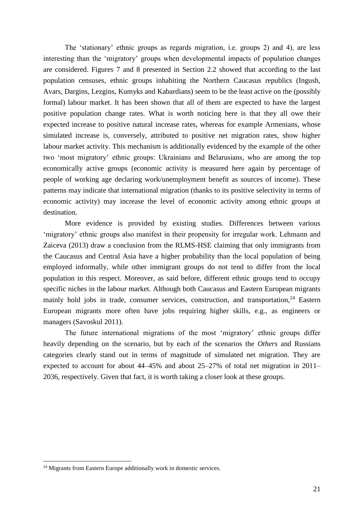The 'stationary' ethnic groups as regards migration, i.e. groups 2) and 4), are less interesting than the 'migratory' groups when developmental impacts of population changes are considered. Figures 7 and 8 presented in Section 2.2 showed that according to the last population censuses, ethnic groups inhabiting the Northern Caucasus republics (Ingush, Avars, Dargins, Lezgins, Kumyks and Kabardians) seem to be the least active on the (possibly formal) labour market. It has been shown that all of them are expected to have the largest positive population change rates. What is worth noticing here is that they all owe their expected increase to positive natural increase rates, whereas for example Armenians, whose simulated increase is, conversely, attributed to positive net migration rates, show higher labour market activity. This mechanism is additionally evidenced by the example of the other two 'most migratory' ethnic groups: Ukrainians and Belarusians, who are among the top economically active groups (economic activity is measured here again by percentage of people of working age declaring work/unemployment benefit as sources of income). These patterns may indicate that international migration (thanks to its positive selectivity in terms of economic activity) may increase the level of economic activity among ethnic groups at destination.

More evidence is provided by existing studies. Differences between various 'migratory' ethnic groups also manifest in their propensity for irregular work. Lehmann and Zaiceva (2013) draw a conclusion from the RLMS-HSE claiming that only immigrants from the Caucasus and Central Asia have a higher probability than the local population of being employed informally, while other immigrant groups do not tend to differ from the local population in this respect. Moreover, as said before, different ethnic groups tend to occupy specific niches in the labour market. Although both Caucasus and Eastern European migrants mainly hold jobs in trade, consumer services, construction, and transportation,<sup>24</sup> Eastern European migrants more often have jobs requiring higher skills, e.g., as engineers or managers (Savoskul 2011).

The future international migrations of the most 'migratory' ethnic groups differ heavily depending on the scenario, but by each of the scenarios the *Others* and Russians categories clearly stand out in terms of magnitude of simulated net migration. They are expected to account for about 44–45% and about 25–27% of total net migration in 2011– 2036, respectively. Given that fact, it is worth taking a closer look at these groups.

1

<sup>&</sup>lt;sup>24</sup> Migrants from Eastern Europe additionally work in domestic services.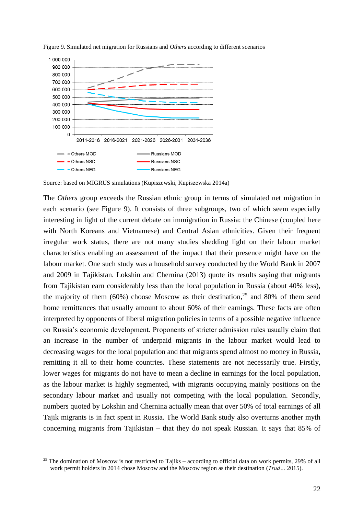

Figure 9. Simulated net migration for Russians and *Others* according to different scenarios

Source: based on MIGRUS simulations (Kupiszewski, Kupiszewska 2014a)

The *Others* group exceeds the Russian ethnic group in terms of simulated net migration in each scenario (see Figure 9). It consists of three subgroups, two of which seem especially interesting in light of the current debate on immigration in Russia: the Chinese (coupled here with North Koreans and Vietnamese) and Central Asian ethnicities. Given their frequent irregular work status, there are not many studies shedding light on their labour market characteristics enabling an assessment of the impact that their presence might have on the labour market. One such study was a household survey conducted by the World Bank in 2007 and 2009 in Tajikistan. Lokshin and Chernina (2013) quote its results saying that migrants from Tajikistan earn considerably less than the local population in Russia (about 40% less), the majority of them  $(60%)$  choose Moscow as their destination,<sup>25</sup> and 80% of them send home remittances that usually amount to about 60% of their earnings. These facts are often interpreted by opponents of liberal migration policies in terms of a possible negative influence on Russia's economic development. Proponents of stricter admission rules usually claim that an increase in the number of underpaid migrants in the labour market would lead to decreasing wages for the local population and that migrants spend almost no money in Russia, remitting it all to their home countries. These statements are not necessarily true. Firstly, lower wages for migrants do not have to mean a decline in earnings for the local population, as the labour market is highly segmented, with migrants occupying mainly positions on the secondary labour market and usually not competing with the local population. Secondly, numbers quoted by Lokshin and Chernina actually mean that over 50% of total earnings of all Tajik migrants is in fact spent in Russia. The World Bank study also overturns another myth concerning migrants from Tajikistan – that they do not speak Russian. It says that 85% of

<u>.</u>

 $25$  The domination of Moscow is not restricted to Tajiks – according to official data on work permits, 29% of all work permit holders in 2014 chose Moscow and the Moscow region as their destination (*Trud…* 2015).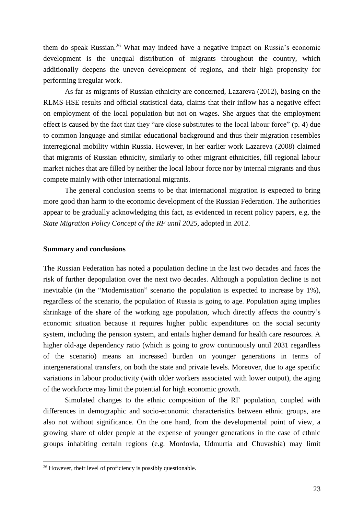them do speak Russian. <sup>26</sup> What may indeed have a negative impact on Russia's economic development is the unequal distribution of migrants throughout the country, which additionally deepens the uneven development of regions, and their high propensity for performing irregular work.

As far as migrants of Russian ethnicity are concerned, Lazareva (2012), basing on the RLMS-HSE results and official statistical data, claims that their inflow has a negative effect on employment of the local population but not on wages. She argues that the employment effect is caused by the fact that they "are close substitutes to the local labour force" (p. 4) due to common language and similar educational background and thus their migration resembles interregional mobility within Russia. However, in her earlier work Lazareva (2008) claimed that migrants of Russian ethnicity, similarly to other migrant ethnicities, fill regional labour market niches that are filled by neither the local labour force nor by internal migrants and thus compete mainly with other international migrants.

The general conclusion seems to be that international migration is expected to bring more good than harm to the economic development of the Russian Federation. The authorities appear to be gradually acknowledging this fact, as evidenced in recent policy papers, e.g. the *State Migration Policy Concept of the RF until 2025*, adopted in 2012.

#### **Summary and conclusions**

The Russian Federation has noted a population decline in the last two decades and faces the risk of further depopulation over the next two decades. Although a population decline is not inevitable (in the "Modernisation" scenario the population is expected to increase by 1%), regardless of the scenario, the population of Russia is going to age. Population aging implies shrinkage of the share of the working age population, which directly affects the country's economic situation because it requires higher public expenditures on the social security system, including the pension system, and entails higher demand for health care resources. A higher old-age dependency ratio (which is going to grow continuously until 2031 regardless of the scenario) means an increased burden on younger generations in terms of intergenerational transfers, on both the state and private levels. Moreover, due to age specific variations in labour productivity (with older workers associated with lower output), the aging of the workforce may limit the potential for high economic growth.

Simulated changes to the ethnic composition of the RF population, coupled with differences in demographic and socio-economic characteristics between ethnic groups, are also not without significance. On the one hand, from the developmental point of view, a growing share of older people at the expense of younger generations in the case of ethnic groups inhabiting certain regions (e.g. Mordovia, Udmurtia and Chuvashia) may limit

1

 $26$  However, their level of proficiency is possibly questionable.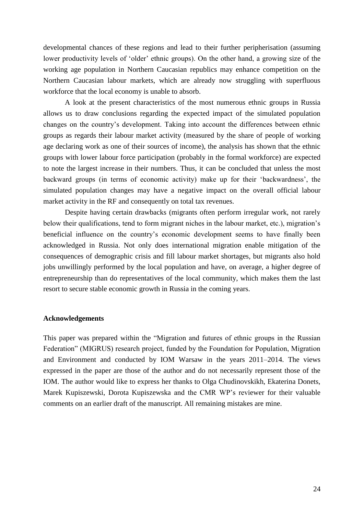developmental chances of these regions and lead to their further peripherisation (assuming lower productivity levels of 'older' ethnic groups). On the other hand, a growing size of the working age population in Northern Caucasian republics may enhance competition on the Northern Caucasian labour markets, which are already now struggling with superfluous workforce that the local economy is unable to absorb.

A look at the present characteristics of the most numerous ethnic groups in Russia allows us to draw conclusions regarding the expected impact of the simulated population changes on the country's development. Taking into account the differences between ethnic groups as regards their labour market activity (measured by the share of people of working age declaring work as one of their sources of income), the analysis has shown that the ethnic groups with lower labour force participation (probably in the formal workforce) are expected to note the largest increase in their numbers. Thus, it can be concluded that unless the most backward groups (in terms of economic activity) make up for their 'backwardness', the simulated population changes may have a negative impact on the overall official labour market activity in the RF and consequently on total tax revenues.

Despite having certain drawbacks (migrants often perform irregular work, not rarely below their qualifications, tend to form migrant niches in the labour market, etc.), migration's beneficial influence on the country's economic development seems to have finally been acknowledged in Russia. Not only does international migration enable mitigation of the consequences of demographic crisis and fill labour market shortages, but migrants also hold jobs unwillingly performed by the local population and have, on average, a higher degree of entrepreneurship than do representatives of the local community, which makes them the last resort to secure stable economic growth in Russia in the coming years.

#### **Acknowledgements**

This paper was prepared within the "Migration and futures of ethnic groups in the Russian Federation" (MIGRUS) research project, funded by the Foundation for Population, Migration and Environment and conducted by IOM Warsaw in the years 2011–2014. The views expressed in the paper are those of the author and do not necessarily represent those of the IOM. The author would like to express her thanks to Olga Chudinovskikh, Ekaterina Donets, Marek Kupiszewski, Dorota Kupiszewska and the CMR WP's reviewer for their valuable comments on an earlier draft of the manuscript. All remaining mistakes are mine.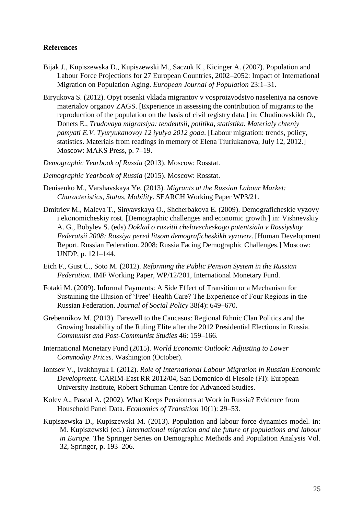## **References**

- Bijak J., Kupiszewska D., Kupiszewski M., Saczuk K., Kicinger A. (2007). Population and Labour Force Projections for 27 European Countries, 2002–2052: Impact of International Migration on Population Aging. *European Journal of Population* 23:1–31.
- Biryukova S. (2012). Opyt otsenki vklada migrantov v vosproizvodstvo naseleniya na osnove materialov organov ZAGS. [Experience in assessing the contribution of migrants to the reproduction of the population on the basis of civil registry data.] in: Chudinovskikh O., Donets E., *Trudovaya migratsiya: tendentsii, politika, statistika. Materialy chteniy pamyati E.V. Tyuryukanovoy 12 iyulya 2012 goda*. [Labour migration: trends, policy, statistics. Materials from readings in memory of Elena Tiuriukanova, July 12, 2012.] Moscow: MAKS Press, p. 7–19.
- *Demographic Yearbook of Russia* (2013). Moscow: Rosstat.
- *Demographic Yearbook of Russia* (2015). Moscow: Rosstat.
- Denisenko M., Varshavskaya Ye. (2013). *Migrants at the Russian Labour Market: Characteristics, Status, Mobility*. SEARCH Working Paper WP3/21.
- Dmitriev M., Maleva T., Sinyavskaya O., Shcherbakova E. (2009). Demograficheskie vyzovy i ekonomicheskiy rost. [Demographic challenges and economic growth.] in: Vishnevskiy A. G., Bobylev S. (eds) *Doklad o razvitii chelovecheskogo potentsiala v Rossiyskoy Federatsii 2008: Rossiya pered litsom demograficheskikh vyzovov*. [Human Development Report. Russian Federation. 2008: Russia Facing Demographic Challenges.] Moscow: UNDP, p. 121–144.
- Eich F., Gust C., Soto M. (2012). *Reforming the Public Pension System in the Russian Federation*. IMF Working Paper, WP/12/201, International Monetary Fund.
- Fotaki M. (2009). Informal Payments: A Side Effect of Transition or a Mechanism for Sustaining the Illusion of 'Free' Health Care? The Experience of Four Regions in the Russian Federation. *Journal of Social Policy* 38(4): 649–670.
- Grebennikov M. (2013). Farewell to the Caucasus: Regional Ethnic Clan Politics and the Growing Instability of the Ruling Elite after the 2012 Presidential Elections in Russia. *Communist and Post-Communist Studies* 46: 159–166.
- International Monetary Fund (2015). *World Economic Outlook: Adjusting to Lower Commodity Prices*. Washington (October).
- Iontsev V., Ivakhnyuk I. (2012). *Role of International Labour Migration in Russian Economic Development*. CARIM-East RR 2012/04, San Domenico di Fiesole (FI): European University Institute, Robert Schuman Centre for Advanced Studies.
- Kolev A., Pascal A. (2002). What Keeps Pensioners at Work in Russia? Evidence from Household Panel Data. *Economics of Transition* 10(1): 29–53.
- Kupiszewska D., Kupiszewski M. (2013). Population and labour force dynamics model. in: M. Kupiszewski (ed.) *International migration and the future of populations and labour in Europe.* The Springer Series on Demographic Methods and Population Analysis Vol. 32, Springer, p. 193–206.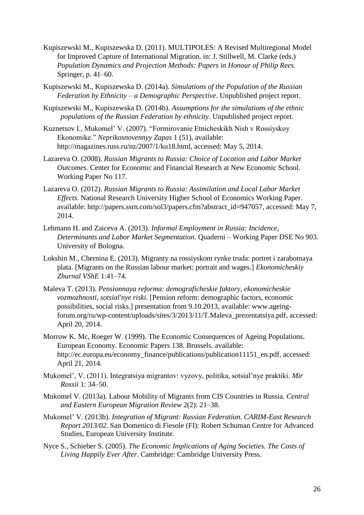- Kupiszewski M., Kupiszewska D. (2011). MULTIPOLES: A Revised Multiregional Model for Improved Capture of International Migration. in: J. Stillwell, M. Clarke (eds.) *Population Dynamics and Projection Methods: Papers in Honour of Philip Rees.* Springer, p. 41–60.
- Kupiszewski M., Kupiszewska D. (2014a). *Simulations of the Population of the Russian Federation by Ethnicity – a Demographic Perspective*. Unpublished project report.
- Kupiszewski M., Kupiszewska D. (2014b). *Assumptions for the simulations of the ethnic populations of the Russian Federation by ethnicity*. Unpublished project report.
- Kuznetsov I., Mukomel' V. (2007). "Formirovanie Etnicheskikh Nish v Rossiyskoy Ekonomike." *Neprikosnovennyy Zapas* 1 (51), available: http://magazines.russ.ru/nz/2007/1/ku18.html, accessed: May 5, 2014.
- Lazareva O. (2008). *Russian Migrants to Russia: Choice of Location and Labor Market Outcomes*. Center for Economic and Financial Research at New Economic School. Working Paper No 117.
- Lazareva O. (2012). *Russian Migrants to Russia: Assimilation and Local Labor Market Effects*. National Research University Higher School of Economics Working Paper. available: http://papers.ssrn.com/sol3/papers.cfm?abstract\_id=947057, accessed: May 7, 2014.
- Lehmann H. and Zaiceva A. (2013). *Informal Employment in Russia: Incidence, Determinants and Labor Market Segmentation*. Quaderni – Working Paper DSE No 903. University of Bologna.
- Lokshin M., Chernina E. (2013). Migranty na rossiyskom rynke truda: portret i zarabotnaya plata. [Migrants on the Russian labour market: portrait and wages.] *Ekonomicheskiy Zhurnal VShE* 1:41–74.
- Maleva T. (2013). *Pensionnaya reforma: demograficheskie faktory, ekonomicheskie vozmozhnosti, sotsial'nye riski*. [Pension reform: demographic factors, economic possibilities, social risks.] presentation from 9.10.2013, available: www.ageingforum.org/ru/wp-content/uploads/sites/3/2013/11/T.Maleva\_prezentatsiya.pdf, accessed: April 20, 2014.
- Morrow K. Mc, Roeger W. (1999). The Economic Consequences of Ageing Populations. European Economy. Economic Papers 138. Brussels. available: http://ec.europa.eu/economy\_finance/publications/publication11151\_en.pdf, accessed: April 21, 2014.
- Mukomel', V. (2011). Integratsiya migrantov: vyzovy, politika, sotsial'nye praktiki. *Mir Rossii* 1: 34–50.
- Mukomel V. (2013a). Labour Mobility of Migrants from CIS Countries in Russia. *Central and Eastern European Migration Review* 2(2): 21–38.
- Mukomel' V. (2013b). *Integration of Migrant: Russian Federation. CARIM-East Research Report 2013/02*. San Domenico di Fiesole (FI): Robert Schuman Centre for Advanced Studies, European University Institute.
- Nyce S., Schieber S. (2005). *The Economic Implications of Aging Societies. The Costs of Living Happily Ever After*. Cambridge: Cambridge University Press.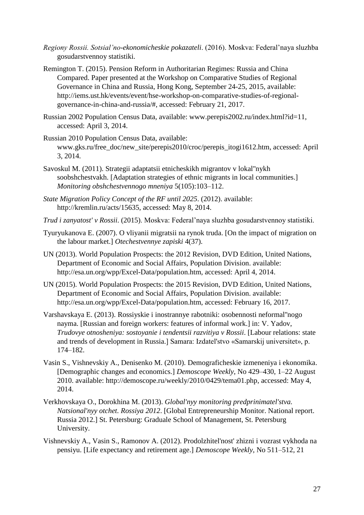- *Regiony Rossii. Sotsial'no-ekonomicheskie pokazateli*. (2016). Moskva: Federal'naya sluzhba gosudarstvennoy statistiki.
- Remington T. (2015). Pension Reform in Authoritarian Regimes: Russia and China Compared. Paper presented at the Workshop on Comparative Studies of Regional Governance in China and Russia, Hong Kong, September 24-25, 2015, available: http://iems.ust.hk/events/event/hse-workshop-on-comparative-studies-of-regionalgovernance-in-china-and-russia/#, accessed: February 21, 2017.
- Russian 2002 Population Census Data, available: www.perepis2002.ru/index.html?id=11, accessed: April 3, 2014.
- Russian 2010 Population Census Data, available: www.gks.ru/free\_doc/new\_site/perepis2010/croc/perepis\_itogi1612.htm, accessed: April 3, 2014.
- Savoskul M. (2011). Strategii adaptatsii etnicheskikh migrantov v lokal''nykh soobshchestvakh. [Adaptation strategies of ethnic migrants in local communities.] *Monitoring obshchestvennogo mneniya* 5(105):103–112.
- *State Migration Policy Concept of the RF until 2025*. (2012). available: http://kremlin.ru/acts/15635, accessed: May 8, 2014.
- *Trud i zanyatost' v Rossii*. (2015). Moskva: Federal'naya sluzhba gosudarstvennoy statistiki.
- Tyuryukanova E. (2007). O vliyanii migratsii na rynok truda. [On the impact of migration on the labour market.] *Otechestvennye zapiski* 4(37).
- UN (2013). World Population Prospects: the 2012 Revision, DVD Edition, United Nations, Department of Economic and Social Affairs, Population Division. available: http://esa.un.org/wpp/Excel-Data/population.htm, accessed: April 4, 2014.
- UN (2015). World Population Prospects: the 2015 Revision, DVD Edition, United Nations, Department of Economic and Social Affairs, Population Division. available: http://esa.un.org/wpp/Excel-Data/population.htm, accessed: February 16, 2017.
- Varshavskaya E. (2013). Rossiyskie i inostrannye rabotniki: osobennosti neformal''nogo nayma. [Russian and foreign workers: features of informal work.] in: V. Yadov, *Trudovye otnosheniya: sostoyanie i tendentsii razvitiya v Rossii*. [Labour relations: state and trends of development in Russia.] Samara: Izdatel'stvo «Samarskij universitet», p. 174–182.
- Vasin S., Vishnevskiy A., Denisenko M. (2010). Demograficheskie izmeneniya i ekonomika. [Demographic changes and economics.] *Demoscope Weekly*, No 429–430, 1–22 August 2010. available: http://demoscope.ru/weekly/2010/0429/tema01.php, accessed: May 4, 2014.
- Verkhovskaya O., Dorokhina M. (2013). *Global'nyy monitoring predprinimatel'stva. Natsional'nyy otchet. Rossiya 2012*. [Global Entrepreneurship Monitor. National report. Russia 2012.] St. Petersburg: Graduale School of Management, St. Petersburg University.
- Vishnevskiy A., Vasin S., Ramonov A. (2012). Prodolzhitel'nost' zhizni i vozrast vykhoda na pensiyu. [Life expectancy and retirement age.] *Demoscope Weekly*, No 511–512, 21